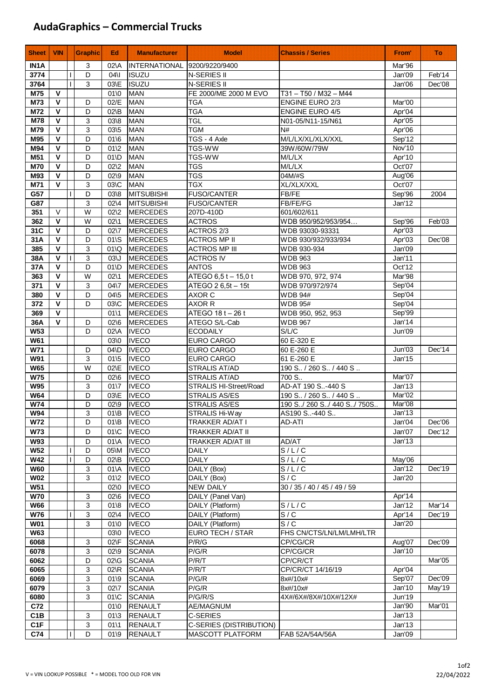## **AudaGraphics – Commercial Trucks**

| <b>Sheet</b>             | <b>VIN</b>                   |              | <b>Graphic</b> | Ed:                                  | <b>Manufacturer</b>          | <b>Model</b>                       | <b>Chassis / Series</b>             | From <sup>®</sup> | Πö     |
|--------------------------|------------------------------|--------------|----------------|--------------------------------------|------------------------------|------------------------------------|-------------------------------------|-------------------|--------|
| IN <sub>1</sub> A        |                              |              | 3              | $02\lambda$                          | INTERNATIONAL 9200/9220/9400 |                                    |                                     | Mar'96            |        |
| 3774                     |                              | $\mathsf{I}$ | D              | 04\I                                 | <b>ISUZU</b>                 | N-SERIES II                        |                                     | Jan'09            | Feb'14 |
| 3764                     |                              | $\mathbf{I}$ | 3              | 03\E                                 | <b>ISUZU</b>                 | N-SERIES II                        |                                     | Jan'06            | Dec'08 |
| M75                      | $\mathbf v$                  |              |                | $01$ \0                              | <b>MAN</b>                   | FE 2000/ME 2000 M EVO              | T31-T50 / M32-M44                   |                   |        |
| M73                      | V                            |              | D              | 02/E                                 | <b>MAN</b>                   | <b>TGA</b>                         | ENGINE EURO 2/3                     | Mar'00            |        |
| M72                      | $\mathbf{V}$                 |              | D              | $02\$                                | <b>MAN</b>                   | <b>TGA</b>                         | <b>ENGINE EURO 4/5</b>              | Apr'04            |        |
| M78                      | $\mathbf{V}$<br>$\mathbf{V}$ |              | 3              | $03 \& 8$                            | <b>MAN</b>                   | <b>TGL</b>                         | N01-05/N11-15/N61                   | Apr'05            |        |
| M79<br>M95               | V                            |              | 3<br>D         | 03\5<br>016                          | <b>MAN</b><br><b>MAN</b>     | <b>TGM</b><br>TGS - 4 Axle         | N#<br>M/L/LX/XL/XLX/XXL             | Apr'06<br>Sep'12  |        |
| M94                      | $\mathbf v$                  |              | D              | $01\overline{2}$                     | <b>MAN</b>                   | TGS-WW                             | 39W/60W/79W                         | Nov'10            |        |
| M51                      | $\mathbf{V}$                 |              | D              | $01$ <sub>D</sub>                    | <b>MAN</b>                   | <b>TGS-WW</b>                      | M/L/LX                              | Apr'10            |        |
| <b>M70</b>               | $\mathbf{V}$                 |              | D              | $02\frac{2}{2}$                      | <b>MAN</b>                   | <b>TGS</b>                         | M/L/LX                              | Oct'07            |        |
| M93                      | $\mathbf{V}$                 |              | D              | $02\$                                | <b>MAN</b>                   | <b>TGS</b>                         | 04M/#S                              | Aug'06            |        |
| M71                      | V                            |              | 3              | 03\C                                 | <b>MAN</b>                   | <b>TGX</b>                         | XL/XLX/XXL                          | Oct'07            |        |
| G57                      |                              | $\mathsf{I}$ | D              | $03 \& 8$                            | MITSUBISHI                   | <b>FUSO/CANTER</b>                 | FB/FE                               | Sep'96            | 2004   |
| G87                      |                              |              | 3              | $02\backslash 4$                     | <b>MITSUBISHI</b>            | <b>FUSO/CANTER</b>                 | FB/FE/FG                            | Jan'12            |        |
| 351                      | $\vee$                       |              | W              | $02\frac{2}{2}$                      | MERCEDES                     | 207D-410D                          | 601/602/611                         |                   |        |
| 362                      | $\mathbf v$                  |              | W              | $02\backslash 1$                     | <b>MERCEDES</b>              | <b>ACTROS</b>                      | WDB 950/952/953/954                 | Sep'96            | Feb'03 |
| 31C                      | $\mathbf v$                  |              | D              | $02\sqrt{7}$                         | <b>MERCEDES</b>              | ACTROS 2/3                         | WDB 93030-93331                     | Apr'03            |        |
| 31A                      | V                            |              | D              | $01\$                                | <b>MERCEDES</b>              | <b>ACTROS MP II</b>                | WDB 930/932/933/934                 | Apr'03            | Dec'08 |
| 385                      | V                            |              | 3              | 01Q                                  | <b>MERCEDES</b>              | <b>ACTROS MP III</b>               | WDB 930-934                         | Jan'09            |        |
| 38A                      | $\mathbf{V}$                 | $\mathbf{I}$ | $\mathbf{3}$   | $03\text{J}$                         | <b>MERCEDES</b>              | <b>ACTROS IV</b>                   | <b>WDB 963</b>                      | Jan'11            |        |
| 37A                      | $\mathbf{V}$                 |              | D              | $01$ <sub>D</sub>                    | <b>MERCEDES</b>              | <b>ANTOS</b>                       | <b>WDB 963</b>                      | Oct'12            |        |
| 363                      | $\mathbf{V}$                 |              | W              | $02\backslash 1$                     | <b>MERCEDES</b>              | ATEGO 6,5 t - 15,0 t               | WDB 970, 972, 974                   | Mar'98            |        |
| 371                      | $\mathbf{V}$                 |              | 3              | $04\sqrt{7}$                         | <b>MERCEDES</b>              | ATEGO 2 6,5t - 15t                 | WDB 970/972/974                     | Sep'04            |        |
| 380                      | $\mathbf{V}$<br>$\mathbf v$  |              | D              | $04\frac{5}{5}$                      | <b>MERCEDES</b>              | AXOR C                             | <b>WDB 94#</b>                      | Sep'04            |        |
| 372                      | $\mathbf{V}$                 |              | D              | 03\C                                 | <b>MERCEDES</b>              | AXOR R                             | <b>WDB 95#</b>                      | Sep'04            |        |
| 369<br>36A               | $\mathbf{V}$                 |              | D              | 0111<br>$02\,6$                      | MERCEDES<br><b>MERCEDES</b>  | ATEGO 18 t - 26 t<br>ATEGO S/L-Cab | WDB 950, 952, 953<br><b>WDB 967</b> | Sep'99<br>Jan'14  |        |
| <b>W53</b>               |                              |              | D              | 02\A                                 | <b>IVECO</b>                 | <b>ECODAILY</b>                    | S/L/C                               | Jun'09            |        |
| <b>W61</b>               |                              |              |                | 03\0                                 | <b>IVECO</b>                 | <b>EURO CARGO</b>                  | 60 E-320 E                          |                   |        |
| W71                      |                              |              | D              | $04$ <sub>D</sub>                    | <b>IVECO</b>                 | EURO CARGO                         | 60 E-260 E                          | Jun'03            | Dec'14 |
| <b>W91</b>               |                              |              | 3              | $01\frac{5}{5}$                      | <b>IVECO</b>                 | EURO CARGO                         | 61 E-260 E                          | Jan'15            |        |
| <b>W65</b>               |                              |              | W              | 02\E                                 | <b>IVECO</b>                 | STRALIS AT/AD                      | 190 S / 260 S / 440 S               |                   |        |
| <b>W75</b>               |                              |              | D              | $02\,6$                              | <b>IVECO</b>                 | STRALIS AT/AD                      | 700 S                               | Mar'07            |        |
| <b>W95</b>               |                              |              | 3              | $01\sqrt{7}$                         | <b>IVECO</b>                 | STRALIS HI-Street/Road             | AD-AT 190 S-440 S                   | Jan'13            |        |
| W <sub>64</sub>          |                              |              | D              | 03\E                                 | <b>IVECO</b>                 | <b>STRALIS AS/ES</b>               | 190 S / 260 S / 440 S               | Mar'02            |        |
| <b>W74</b>               |                              |              | D              | $02\$                                | <b>IVECO</b>                 | <b>STRALIS AS/ES</b>               | 190 S./260 S./440 S./750S.          | Mar'08            |        |
| <b>W94</b>               |                              |              | 3              |                                      | 01\B  IVECO                  | STRALIS Hi-Way                     | AS190 S-440 S                       | Jan'13            |        |
| <b>W72</b>               |                              |              | D              | $01$ <sub>B</sub>                    | <b>IVECO</b>                 | TRAKKER AD/AT I                    | AD-ATI                              | Jan'04            | Dec'06 |
| <b>W73</b>               |                              |              | D              | $01$ \C                              | <b>IVECO</b>                 | TRAKKER AD/AT II                   |                                     | Jan'07            | Dec'12 |
| <b>W93</b>               |                              |              | D              | $01\lambda$                          | <b>IVECO</b>                 | <b>TRAKKER AD/AT III</b>           | AD/AT                               | Jan'13            |        |
| <b>W52</b>               |                              | $\mathsf{I}$ | D              | 05\M                                 | <b>IVECO</b>                 | <b>DAILY</b>                       | S/L/C                               |                   |        |
| <b>W42</b>               |                              | $\mathbf{I}$ | D              | $02\$                                | <b>IVECO</b>                 | <b>DAILY</b>                       | S/L/C<br>$\overline{S}/L/C$         | May'06            |        |
| <b>W60</b><br><b>W02</b> |                              |              | 3<br>3         | $01$ <sup>A</sup><br>$01\frac{2}{2}$ | <b>IVECO</b><br><b>IVECO</b> | DAILY (Box)<br>DAILY (Box)         | S/C                                 | Jan'12<br>Jan'20  | Dec'19 |
| <b>W51</b>               |                              |              |                | 02\0                                 | <b>IVECO</b>                 | <b>NEW DAILY</b>                   | 30 / 35 / 40 / 45 / 49 / 59         |                   |        |
| <b>W70</b>               |                              |              | 3              | $02\,6$                              | <b>IVECO</b>                 | DAILY (Panel Van)                  |                                     | Apr'14            |        |
| <b>W66</b>               |                              |              | 3              | $01 \& 8$                            | <b>IVECO</b>                 | DAILY (Platform)                   | S/L/C                               | Jan'12            | Mar'14 |
| <b>W76</b>               |                              | $\mathbf{I}$ | 3              | $02\backslash 4$                     | <b>IVECO</b>                 | DAILY (Platform)                   | S/C                                 | Apr'14            | Dec'19 |
| <b>W01</b>               |                              |              | 3              | $01$ \0                              | <b>IVECO</b>                 | DAILY (Platform)                   | S/C                                 | Jan'20            |        |
| <b>W63</b>               |                              |              |                | 03\0                                 | <b>IVECO</b>                 | EURO TECH / STAR                   | FHS CN/CTS/LN/LM/LMH/LTR            |                   |        |
| 6068                     |                              |              | 3              | $02\ F$                              | <b>SCANIA</b>                | P/R/G                              | CP/CG/CR                            | Aug'07            | Dec'09 |
| 6078                     |                              |              | 3              | $02\$                                | <b>SCANIA</b>                | P/G/R                              | CP/CG/CR                            | Jan'10            |        |
| 6062                     |                              |              | D              | 02\G                                 | <b>SCANIA</b>                | P/R/T                              | CP/CR/CT                            |                   | Mar'05 |
| 6065                     |                              |              | 3              | $02\overline{R}$                     | <b>SCANIA</b>                | P/R/T                              | CP/CR/CT 14/16/19                   | Apr'04            |        |
| 6069                     |                              |              | 3              | $01 \, 9$                            | <b>SCANIA</b>                | P/G/R                              | 8x#/10x#                            | Sep'07            | Dec'09 |
| 6079                     |                              |              | 3              | $02\sqrt{7}$                         | <b>SCANIA</b>                | P/G/R                              | 8x#/10x#                            | Jan'10            | May'19 |
| 6080                     |                              |              | 3              | $01$ \C                              | <b>SCANIA</b>                | P/G/R/S                            | 4X#/6X#/8X#/10X#/12X#               | Jun'19            |        |
| C72                      |                              |              |                | 01'0                                 | <b>RENAULT</b>               | AE/MAGNUM                          |                                     | Jan'90            | Mar'01 |
| C <sub>1</sub> B         |                              |              | 3              | $01 \times 3$                        | <b>RENAULT</b>               | C-SERIES                           |                                     | Jan'13            |        |
| C <sub>1</sub> F         |                              |              | 3              | 0111                                 | <b>RENAULT</b>               | C-SERIES (DISTRIBUTION)            |                                     | Jan'13            |        |
| C74                      |                              | $\mathsf{I}$ | D              | $01 \, 9$                            | <b>RENAULT</b>               | MASCOTT PLATFORM                   | FAB 52A/54A/56A                     | Jan'09            |        |